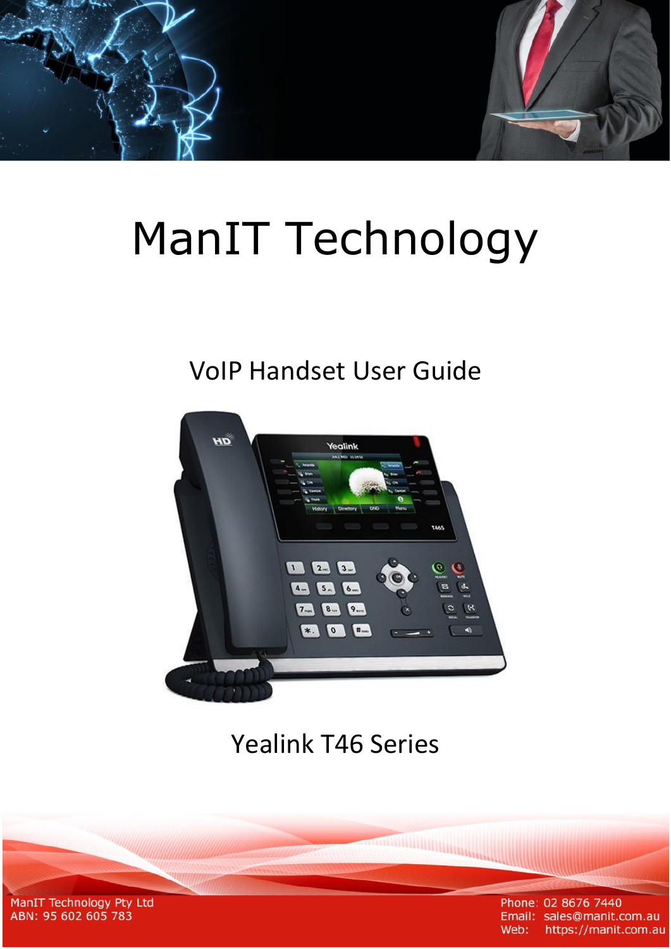# **ManIT Technology**

# **VolP Handset User Guide**



# **Yealink T46 Series**

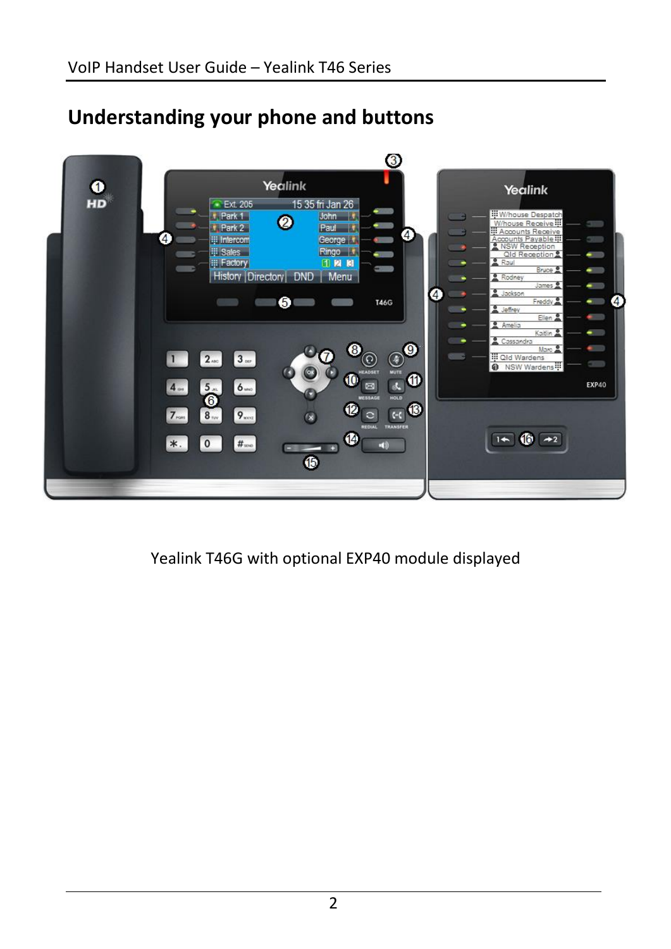

# **Understanding your phone and buttons**

Yealink T46G with optional EXP40 module displayed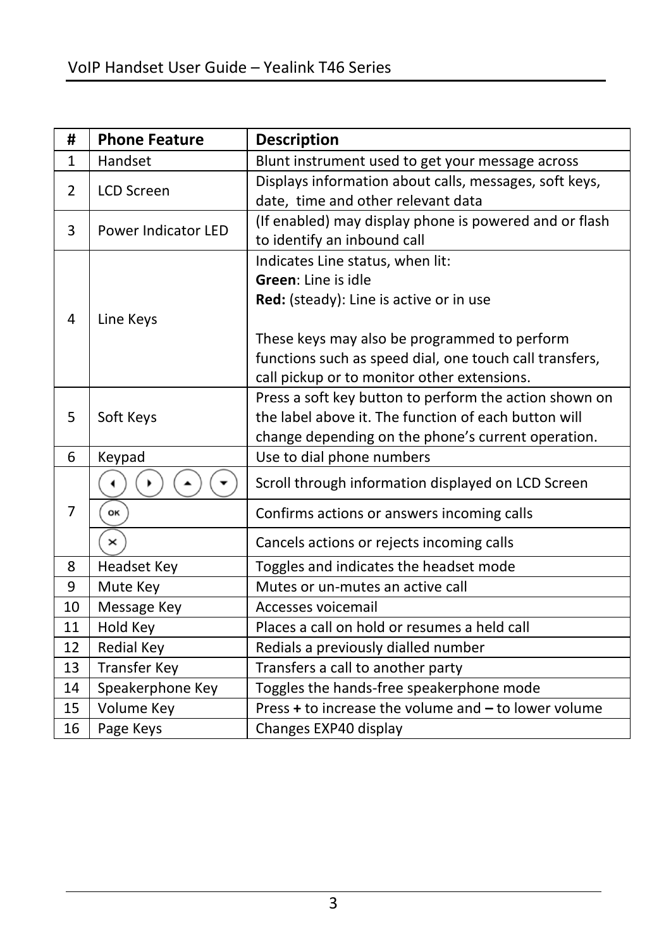| #            | <b>Phone Feature</b>  | <b>Description</b>                                      |
|--------------|-----------------------|---------------------------------------------------------|
| $\mathbf{1}$ | Handset               | Blunt instrument used to get your message across        |
| 2            | <b>LCD Screen</b>     | Displays information about calls, messages, soft keys,  |
|              |                       | date, time and other relevant data                      |
| 3            | Power Indicator LED   | (If enabled) may display phone is powered and or flash  |
|              |                       | to identify an inbound call                             |
|              |                       | Indicates Line status, when lit:                        |
|              |                       | Green: Line is idle                                     |
|              |                       | Red: (steady): Line is active or in use                 |
| 4            | Line Keys             |                                                         |
|              |                       | These keys may also be programmed to perform            |
|              |                       | functions such as speed dial, one touch call transfers, |
|              |                       | call pickup or to monitor other extensions.             |
|              |                       | Press a soft key button to perform the action shown on  |
| 5            | Soft Keys             | the label above it. The function of each button will    |
|              |                       | change depending on the phone's current operation.      |
| 6            | Keypad                | Use to dial phone numbers                               |
| 7            |                       | Scroll through information displayed on LCD Screen      |
|              | OK                    | Confirms actions or answers incoming calls              |
|              | $\boldsymbol{\times}$ | Cancels actions or rejects incoming calls               |
| 8            | <b>Headset Key</b>    | Toggles and indicates the headset mode                  |
| 9            | Mute Key              | Mutes or un-mutes an active call                        |
| 10           | Message Key           | Accesses voicemail                                      |
| 11           | Hold Key              | Places a call on hold or resumes a held call            |
| 12           | <b>Redial Key</b>     | Redials a previously dialled number                     |
| 13           | <b>Transfer Key</b>   | Transfers a call to another party                       |
| 14           | Speakerphone Key      | Toggles the hands-free speakerphone mode                |
| 15           | Volume Key            | Press + to increase the volume and - to lower volume    |
| 16           | Page Keys             | Changes EXP40 display                                   |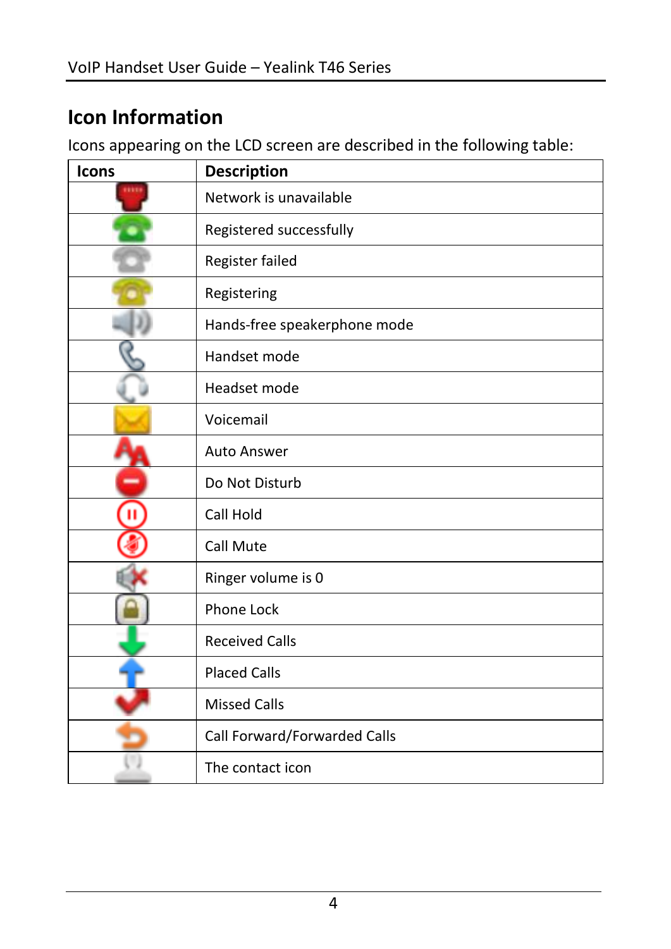# **Icon Information**

Icons appearing on the LCD screen are described in the following table:

| Icons | <b>Description</b>           |
|-------|------------------------------|
|       | Network is unavailable       |
|       | Registered successfully      |
|       | Register failed              |
|       | Registering                  |
|       | Hands-free speakerphone mode |
|       | Handset mode                 |
|       | Headset mode                 |
|       | Voicemail                    |
|       | <b>Auto Answer</b>           |
|       | Do Not Disturb               |
|       | Call Hold                    |
|       | Call Mute                    |
|       | Ringer volume is 0           |
|       | <b>Phone Lock</b>            |
|       | <b>Received Calls</b>        |
|       | <b>Placed Calls</b>          |
|       | <b>Missed Calls</b>          |
|       | Call Forward/Forwarded Calls |
|       | The contact icon             |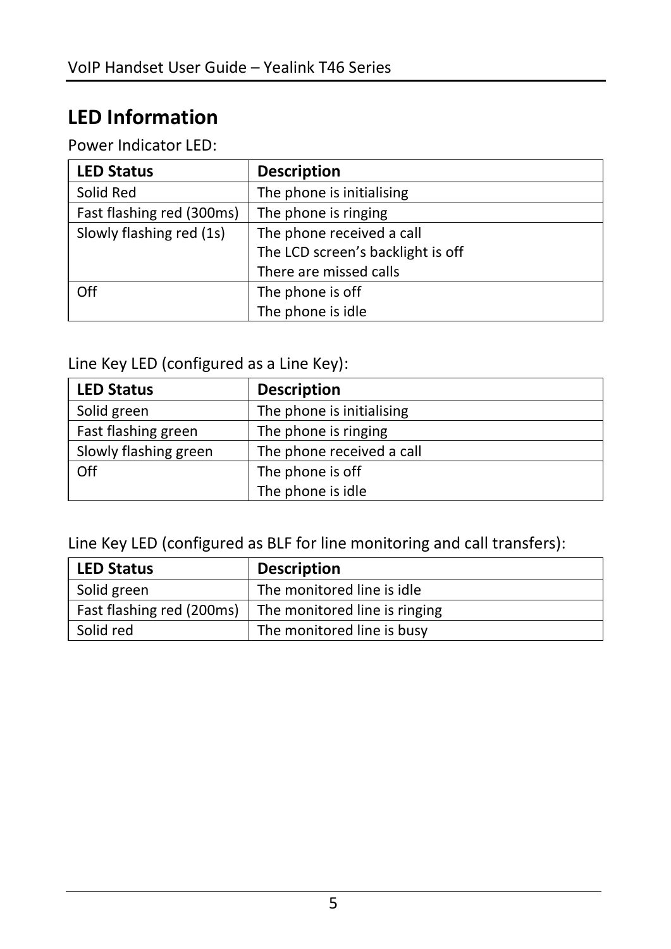# **LED Information**

Power Indicator LED:

| <b>LED Status</b>         | <b>Description</b>                |
|---------------------------|-----------------------------------|
| Solid Red                 | The phone is initialising         |
| Fast flashing red (300ms) | The phone is ringing              |
| Slowly flashing red (1s)  | The phone received a call         |
|                           | The LCD screen's backlight is off |
|                           | There are missed calls            |
| Off                       | The phone is off                  |
|                           | The phone is idle                 |

Line Key LED (configured as a Line Key):

| <b>LED Status</b>     | <b>Description</b>        |
|-----------------------|---------------------------|
| Solid green           | The phone is initialising |
| Fast flashing green   | The phone is ringing      |
| Slowly flashing green | The phone received a call |
| Off                   | The phone is off          |
|                       | The phone is idle         |

Line Key LED (configured as BLF for line monitoring and call transfers):

| <b>LED Status</b>         | <b>Description</b>            |
|---------------------------|-------------------------------|
| Solid green               | The monitored line is idle    |
| Fast flashing red (200ms) | The monitored line is ringing |
| Solid red                 | The monitored line is busy    |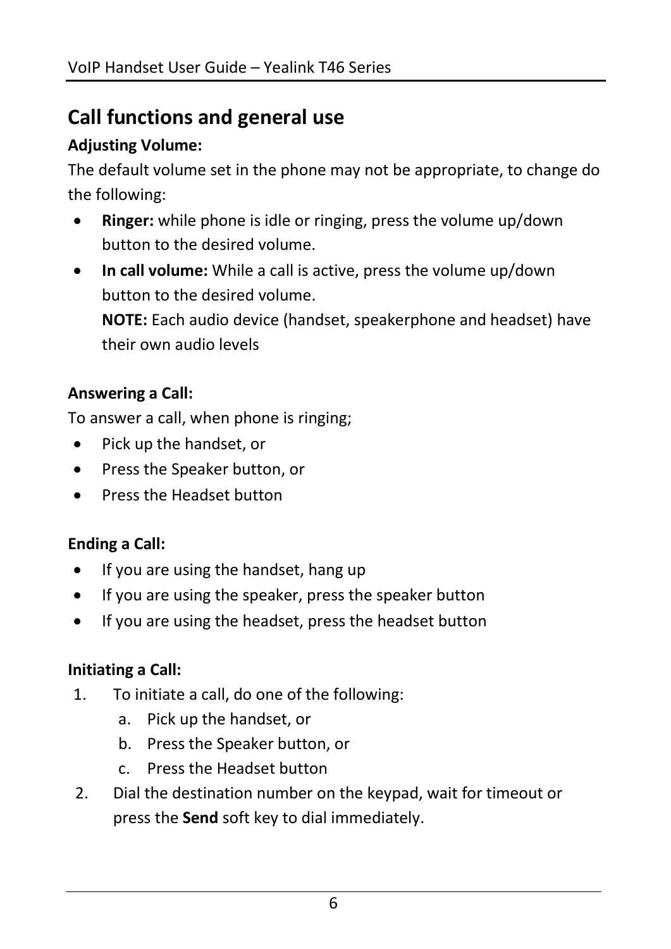# **Call functions and general use**

#### **Adjusting Volume:**

The default volume set in the phone may not be appropriate, to change do the following:

- **Ringer:** while phone is idle or ringing, press the volume up/down button to the desired volume.
- **In call volume:** While a call is active, press the volume up/down button to the desired volume. **NOTE:** Each audio device (handset, speakerphone and headset) have their own audio levels

#### **Answering a Call:**

To answer a call, when phone is ringing;

- Pick up the handset, or
- Press the Speaker button, or
- **•** Press the Headset button

#### **Ending a Call:**

- If you are using the handset, hang up
- If you are using the speaker, press the speaker button
- If you are using the headset, press the headset button

#### **Initiating a Call:**

- 1. To initiate a call, do one of the following:
	- a. Pick up the handset, or
	- b. Press the Speaker button, or
	- c. Press the Headset button
- 2. Dial the destination number on the keypad, wait for timeout or press the **Send** soft key to dial immediately.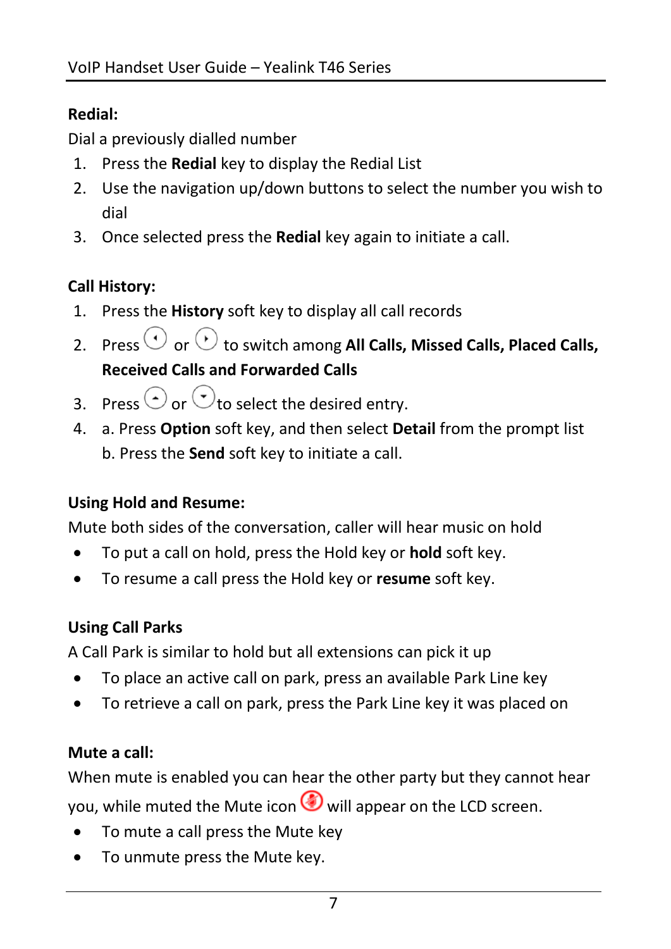#### **Redial:**

Dial a previously dialled number

- 1. Press the **Redial** key to display the Redial List
- 2. Use the navigation up/down buttons to select the number you wish to dial
- 3. Once selected press the **Redial** key again to initiate a call.

### **Call History:**

- 1. Press the **History** soft key to display all call records
- 2. Press  $\bigcirc$  or  $\bigcirc$  to switch among All Calls, Missed Calls, Placed Calls, **Received Calls and Forwarded Calls**
- 3. Press  $\odot$  or  $\odot$  to select the desired entry.
- 4. a. Press **Option** soft key, and then select **Detail** from the prompt list b. Press the **Send** soft key to initiate a call.

#### **Using Hold and Resume:**

Mute both sides of the conversation, caller will hear music on hold

- To put a call on hold, press the Hold key or **hold** soft key.
- To resume a call press the Hold key or **resume** soft key.

#### **Using Call Parks**

A Call Park is similar to hold but all extensions can pick it up

- To place an active call on park, press an available Park Line key
- To retrieve a call on park, press the Park Line key it was placed on

#### **Mute a call:**

When mute is enabled you can hear the other party but they cannot hear you, while muted the Mute icon  $\bigcirc$  will appear on the LCD screen.

- To mute a call press the Mute key
- To unmute press the Mute key.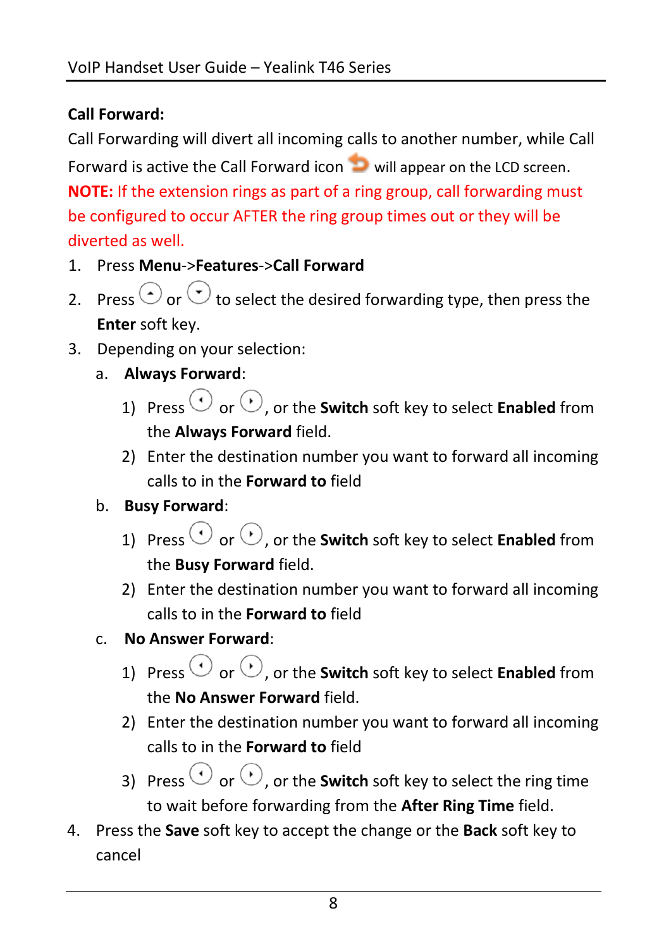#### **Call Forward:**

Call Forwarding will divert all incoming calls to another number, while Call Forward is active the Call Forward icon will appear on the LCD screen. **NOTE:** If the extension rings as part of a ring group, call forwarding must be configured to occur AFTER the ring group times out or they will be diverted as well.

- 1. Press **Menu**->**Features**->**Call Forward**
- 2. Press  $\odot$  or  $\odot$  to select the desired forwarding type, then press the **Enter** soft key.
- 3. Depending on your selection:
	- a. **Always Forward**:
		- 1) Press  $\odot$  or  $\odot$ , or the **Switch** soft key to select **Enabled** from the **Always Forward** field.
		- 2) Enter the destination number you want to forward all incoming calls to in the **Forward to** field

#### b. **Busy Forward**:

- 1) Press  $\odot$  or  $\odot$ , or the **Switch** soft key to select **Enabled** from the **Busy Forward** field.
- 2) Enter the destination number you want to forward all incoming calls to in the **Forward to** field
- c. **No Answer Forward**:
	- 1) Press  $\odot$  or  $\odot$ , or the **Switch** soft key to select **Enabled** from the **No Answer Forward** field.
	- 2) Enter the destination number you want to forward all incoming calls to in the **Forward to** field
	- 3) Press  $\odot$  or  $\odot$ , or the **Switch** soft key to select the ring time to wait before forwarding from the **After Ring Time** field.
- 4. Press the **Save** soft key to accept the change or the **Back** soft key to cancel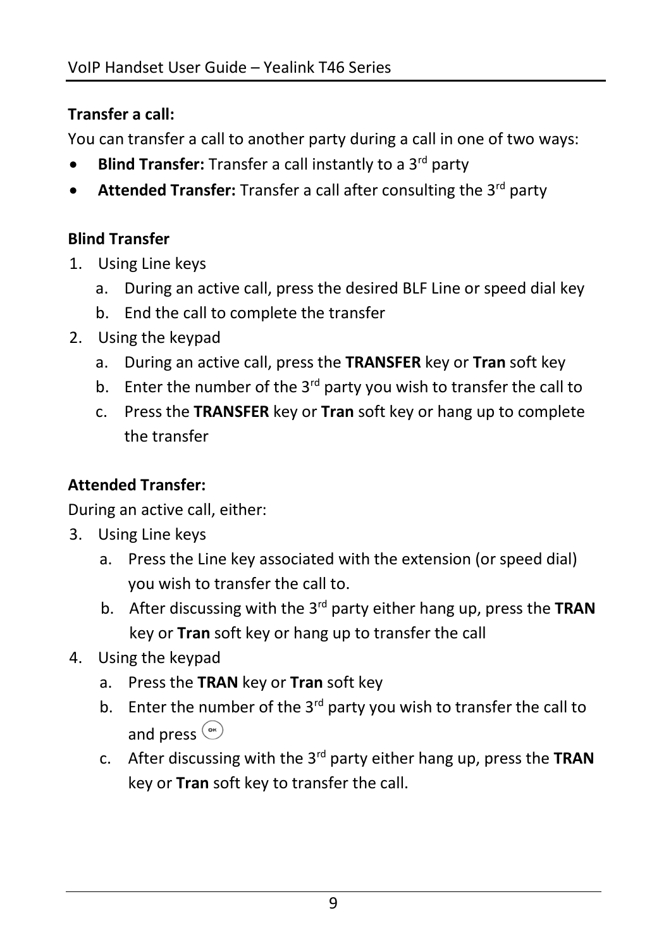#### **Transfer a call:**

You can transfer a call to another party during a call in one of two ways:

- **Blind Transfer:** Transfer a call instantly to a 3<sup>rd</sup> party
- Attended Transfer: Transfer a call after consulting the 3<sup>rd</sup> party

#### **Blind Transfer**

- 1. Using Line keys
	- a. During an active call, press the desired BLF Line or speed dial key
	- b. End the call to complete the transfer
- 2. Using the keypad
	- a. During an active call, press the **TRANSFER** key or **Tran** soft key
	- b. Enter the number of the  $3<sup>rd</sup>$  party you wish to transfer the call to
	- c. Press the **TRANSFER** key or **Tran** soft key or hang up to complete the transfer

#### **Attended Transfer:**

During an active call, either:

- 3. Using Line keys
	- a. Press the Line key associated with the extension (or speed dial) you wish to transfer the call to.
	- b. After discussing with the 3rd party either hang up, press the **TRAN** key or **Tran** soft key or hang up to transfer the call
- 4. Using the keypad
	- a. Press the **TRAN** key or **Tran** soft key
	- b. Enter the number of the  $3^{rd}$  party you wish to transfer the call to and press  $\circ$
	- c. After discussing with the 3rd party either hang up, press the **TRAN** key or **Tran** soft key to transfer the call.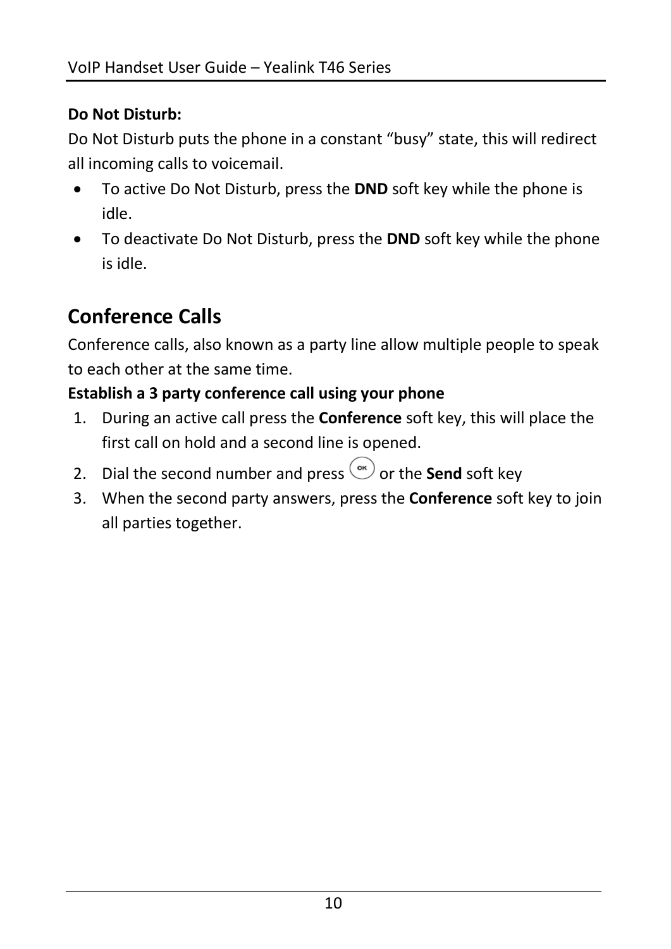#### **Do Not Disturb:**

Do Not Disturb puts the phone in a constant "busy" state, this will redirect all incoming calls to voicemail.

- To active Do Not Disturb, press the **DND** soft key while the phone is idle.
- To deactivate Do Not Disturb, press the **DND** soft key while the phone is idle.

# **Conference Calls**

Conference calls, also known as a party line allow multiple people to speak to each other at the same time.

#### **Establish a 3 party conference call using your phone**

- 1. During an active call press the **Conference** soft key, this will place the first call on hold and a second line is opened.
- 2. Dial the second number and press  $\overset{\text{ow}}{\sim}$  or the **Send** soft key
- 3. When the second party answers, press the **Conference** soft key to join all parties together.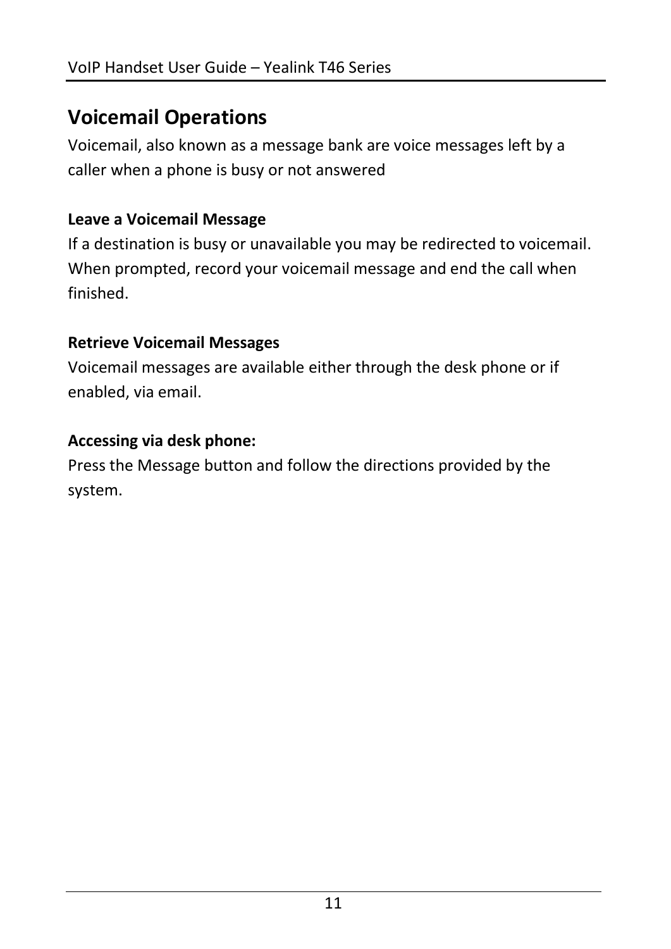# **Voicemail Operations**

Voicemail, also known as a message bank are voice messages left by a caller when a phone is busy or not answered

#### **Leave a Voicemail Message**

If a destination is busy or unavailable you may be redirected to voicemail. When prompted, record your voicemail message and end the call when finished.

#### **Retrieve Voicemail Messages**

Voicemail messages are available either through the desk phone or if enabled, via email.

#### **Accessing via desk phone:**

Press the Message button and follow the directions provided by the system.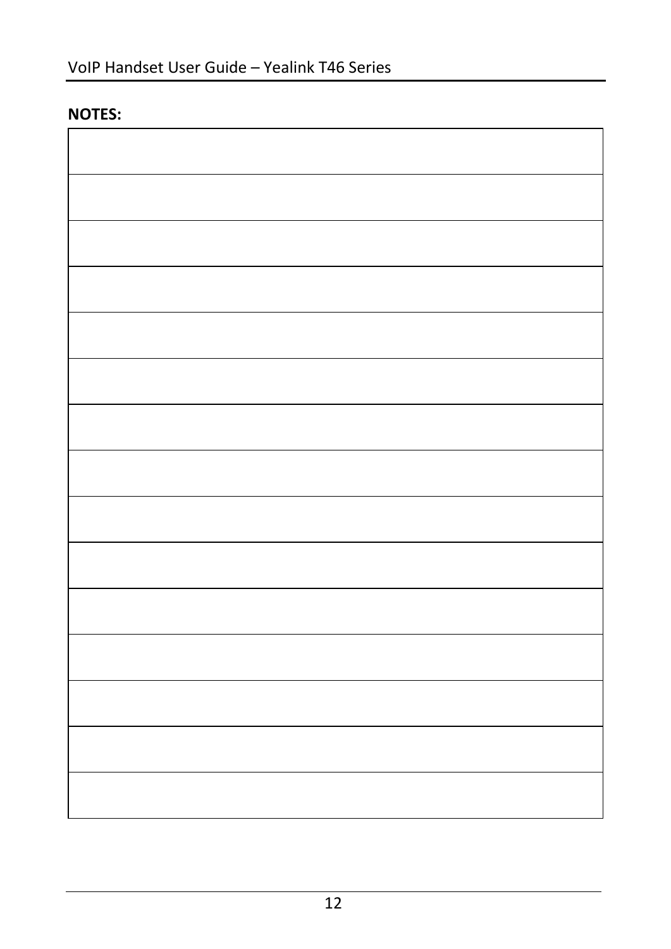#### **NOTES:**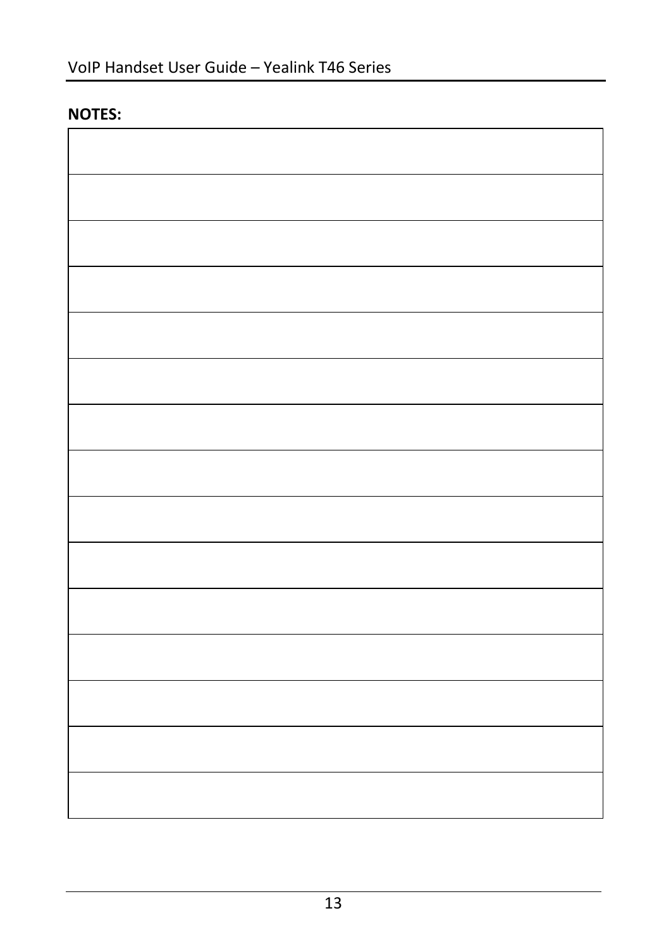#### **NOTES:**